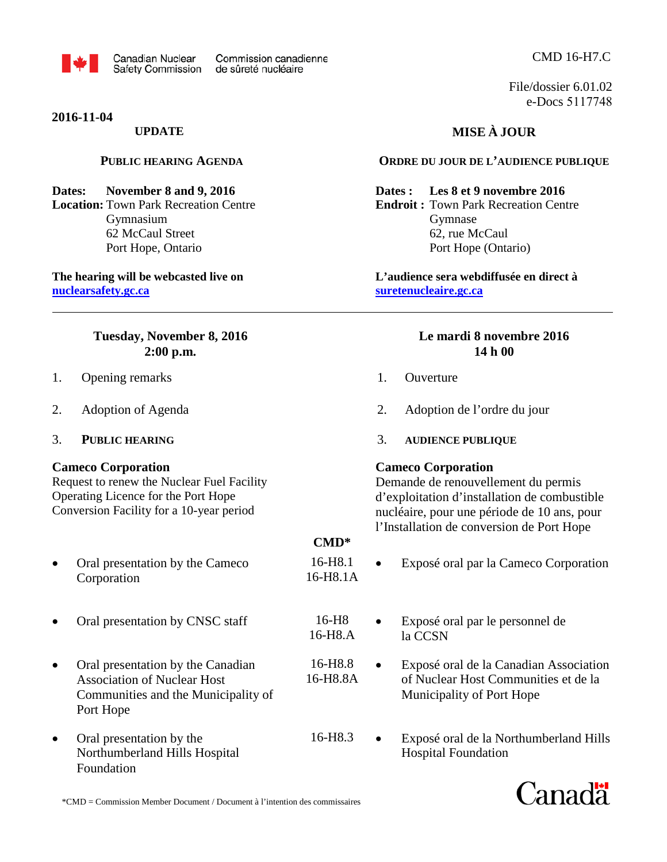

**2016-11-04**

### **UPDATE**

### **PUBLIC HEARING AGENDA**

### **Dates: November 8 and 9, 2016**

**Location:** Town Park Recreation Centre Gymnasium 62 McCaul Street Port Hope, Ontario

### **The hearing will be webcasted live on [nuclearsafety.gc.ca](http://www.nuclearsafety.gc.ca/)**

### **Tuesday, November 8, 2016 2:00 p.m.**

- 1. Opening remarks
- 2. Adoption of Agenda
- 3. **PUBLIC HEARING**

### **Cameco Corporation**

Request to renew the Nuclear Fuel Facility Operating Licence for the Port Hope Conversion Facility for a 10-year period

- Oral presentation by the Cameco 16-H8.1<br>Corporation 16-H8.1A Corporation
- Oral presentation by CNSC staff 16-H8
- Oral presentation by the Canadian 16-H8.8 Association of Nuclear Host 16-H8.8A Communities and the Municipality of Port Hope
- Oral presentation by the 16-H8.3 Northumberland Hills Hospital Foundation

## CMD 16-H7.C

File/dossier 6.01.02 e-Docs 5117748

# **MISE À JOUR**

### **ORDRE DU JOUR DE L'AUDIENCE PUBLIQUE**

**Dates : Les 8 et 9 novembre 2016** 

**Endroit :** Town Park Recreation Centre Gymnase 62, rue McCaul Port Hope (Ontario)

**L'audience sera webdiffusée en direct à [suretenucleaire.gc.ca](http://www.suretenucleaire.gc.ca/)**

### **Le mardi 8 novembre 2016 14 h 00**

- 1. Ouverture
- 2. Adoption de l'ordre du jour
- 3. **AUDIENCE PUBLIQUE**

### **Cameco Corporation**

Demande de renouvellement du permis d'exploitation d'installation de combustible nucléaire, pour une période de 10 ans, pour l'Installation de conversion de Port Hope

- **CMD\***
- Exposé oral par la Cameco Corporation
- 16-H8.A • Exposé oral par le personnel de la CCSN
	- Exposé oral de la Canadian Association of Nuclear Host Communities et de la Municipality of Port Hope
	- Exposé oral de la Northumberland Hills Hospital Foundation

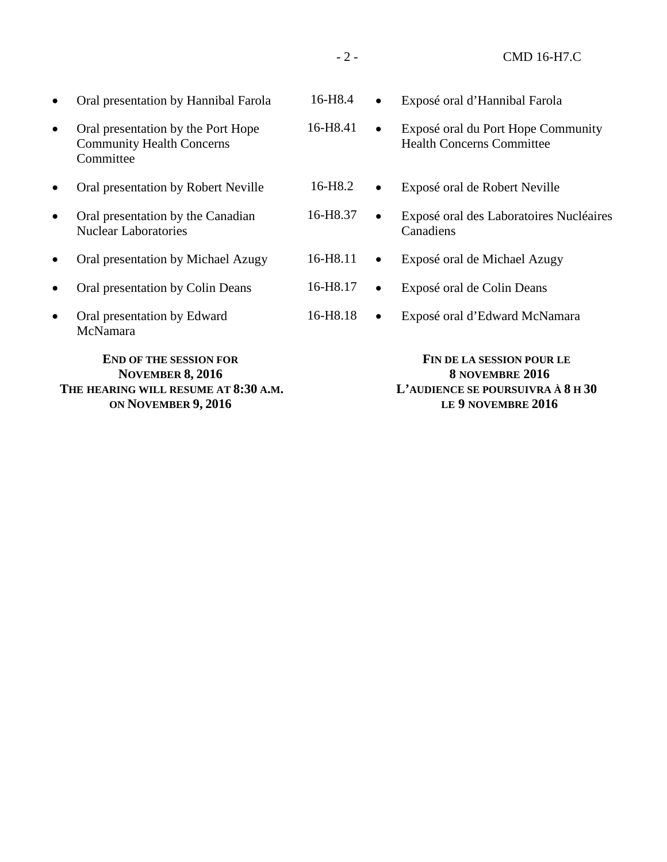|           | <b>END OF THE SESSION FOR</b><br><b>NOVEMBER 8, 2016</b><br>THE HEARING WILL RESUME AT 8:30 A.M. |                     |           | FIN DE LA SESSION POUR LE<br>8 NOVEMBRE 2016<br>L'AUDIENCE SE POURSUIVRA À 8 H 30 |
|-----------|--------------------------------------------------------------------------------------------------|---------------------|-----------|-----------------------------------------------------------------------------------|
| $\bullet$ | Oral presentation by Edward<br>McNamara                                                          | 16-H8.18            | $\bullet$ | Exposé oral d'Edward McNamara                                                     |
| $\bullet$ | Oral presentation by Colin Deans                                                                 | 16-H8.17            | $\bullet$ | Exposé oral de Colin Deans                                                        |
| $\bullet$ | Oral presentation by Michael Azugy                                                               | 16-H8.11            | $\bullet$ | Exposé oral de Michael Azugy                                                      |
| $\bullet$ | Oral presentation by the Canadian<br><b>Nuclear Laboratories</b>                                 | 16-H8.37            | $\bullet$ | Exposé oral des Laboratoires Nucléaires<br>Canadiens                              |
| $\bullet$ | Oral presentation by Robert Neville                                                              | 16-H <sub>8.2</sub> | $\bullet$ | Exposé oral de Robert Neville                                                     |
| $\bullet$ | Oral presentation by the Port Hope<br><b>Community Health Concerns</b><br>Committee              | 16-H8.41            | $\bullet$ | Exposé oral du Port Hope Community<br><b>Health Concerns Committee</b>            |
| $\bullet$ | Oral presentation by Hannibal Farola                                                             | 16-H <sub>8.4</sub> |           | Exposé oral d'Hannibal Farola                                                     |
|           |                                                                                                  |                     |           |                                                                                   |

**LE 9 NOVEMBRE 2016**

**THE HEARING WILL RESUME AT 8:30 A.M. ON NOVEMBER 9, 2016**

- 2 - CMD 16-H7.C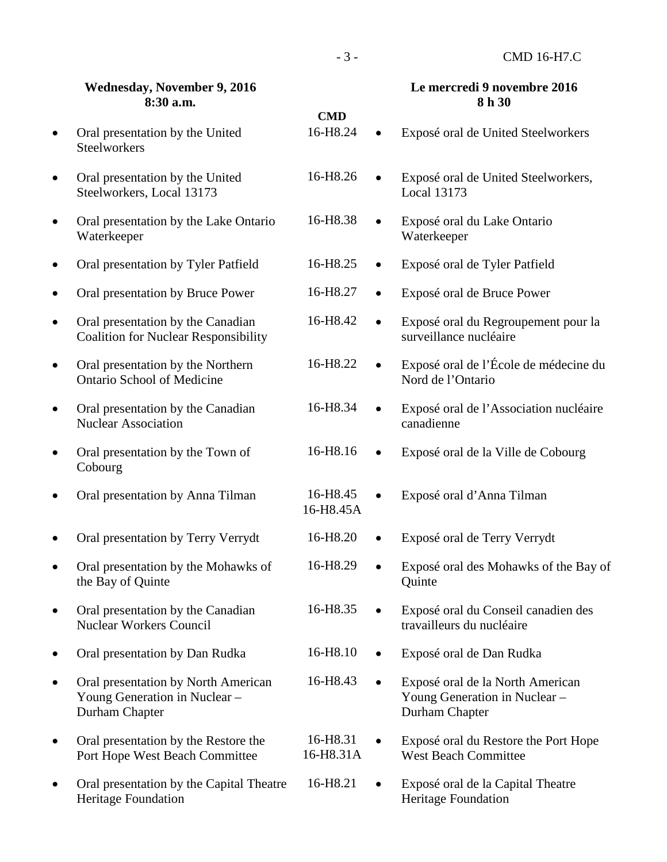|           | <b>Wednesday, November 9, 2016</b><br>8:30 a.m.                                        | <b>CMD</b>            |           | Le mercredi 9 novembre 2016<br>8 h 30                                               |
|-----------|----------------------------------------------------------------------------------------|-----------------------|-----------|-------------------------------------------------------------------------------------|
| $\bullet$ | Oral presentation by the United<br><b>Steelworkers</b>                                 | 16-H8.24              | $\bullet$ | Exposé oral de United Steelworkers                                                  |
| $\bullet$ | Oral presentation by the United<br>Steelworkers, Local 13173                           | 16-H8.26              | $\bullet$ | Exposé oral de United Steelworkers,<br><b>Local 13173</b>                           |
| $\bullet$ | Oral presentation by the Lake Ontario<br>Waterkeeper                                   | 16-H8.38              |           | Exposé oral du Lake Ontario<br>Waterkeeper                                          |
| $\bullet$ | Oral presentation by Tyler Patfield                                                    | 16-H8.25              | $\bullet$ | Exposé oral de Tyler Patfield                                                       |
| $\bullet$ | Oral presentation by Bruce Power                                                       | 16-H8.27              | $\bullet$ | Exposé oral de Bruce Power                                                          |
| $\bullet$ | Oral presentation by the Canadian<br><b>Coalition for Nuclear Responsibility</b>       | 16-H8.42              | $\bullet$ | Exposé oral du Regroupement pour la<br>surveillance nucléaire                       |
| $\bullet$ | Oral presentation by the Northern<br><b>Ontario School of Medicine</b>                 | 16-H8.22              |           | Exposé oral de l'École de médecine du<br>Nord de l'Ontario                          |
| $\bullet$ | Oral presentation by the Canadian<br><b>Nuclear Association</b>                        | 16-H8.34              |           | Exposé oral de l'Association nucléaire<br>canadienne                                |
| $\bullet$ | Oral presentation by the Town of<br>Cobourg                                            | 16-H8.16              | $\bullet$ | Exposé oral de la Ville de Cobourg                                                  |
| ٠         | Oral presentation by Anna Tilman                                                       | 16-H8.45<br>16-H8.45A |           | Exposé oral d'Anna Tilman                                                           |
| ٠         | Oral presentation by Terry Verrydt                                                     | 16-H8.20              |           | Exposé oral de Terry Verrydt                                                        |
|           | Oral presentation by the Mohawks of<br>the Bay of Quinte                               | 16-H8.29              |           | Exposé oral des Mohawks of the Bay of<br>Quinte                                     |
| $\bullet$ | Oral presentation by the Canadian<br><b>Nuclear Workers Council</b>                    | 16-H8.35              |           | Exposé oral du Conseil canadien des<br>travailleurs du nucléaire                    |
| $\bullet$ | Oral presentation by Dan Rudka                                                         | 16-H8.10              | $\bullet$ | Exposé oral de Dan Rudka                                                            |
| $\bullet$ | Oral presentation by North American<br>Young Generation in Nuclear -<br>Durham Chapter | 16-H8.43              | $\bullet$ | Exposé oral de la North American<br>Young Generation in Nuclear -<br>Durham Chapter |
| $\bullet$ | Oral presentation by the Restore the<br>Port Hope West Beach Committee                 | 16-H8.31<br>16-H8.31A |           | Exposé oral du Restore the Port Hope<br><b>West Beach Committee</b>                 |
| ٠         | Oral presentation by the Capital Theatre<br><b>Heritage Foundation</b>                 | 16-H8.21              |           | Exposé oral de la Capital Theatre<br><b>Heritage Foundation</b>                     |